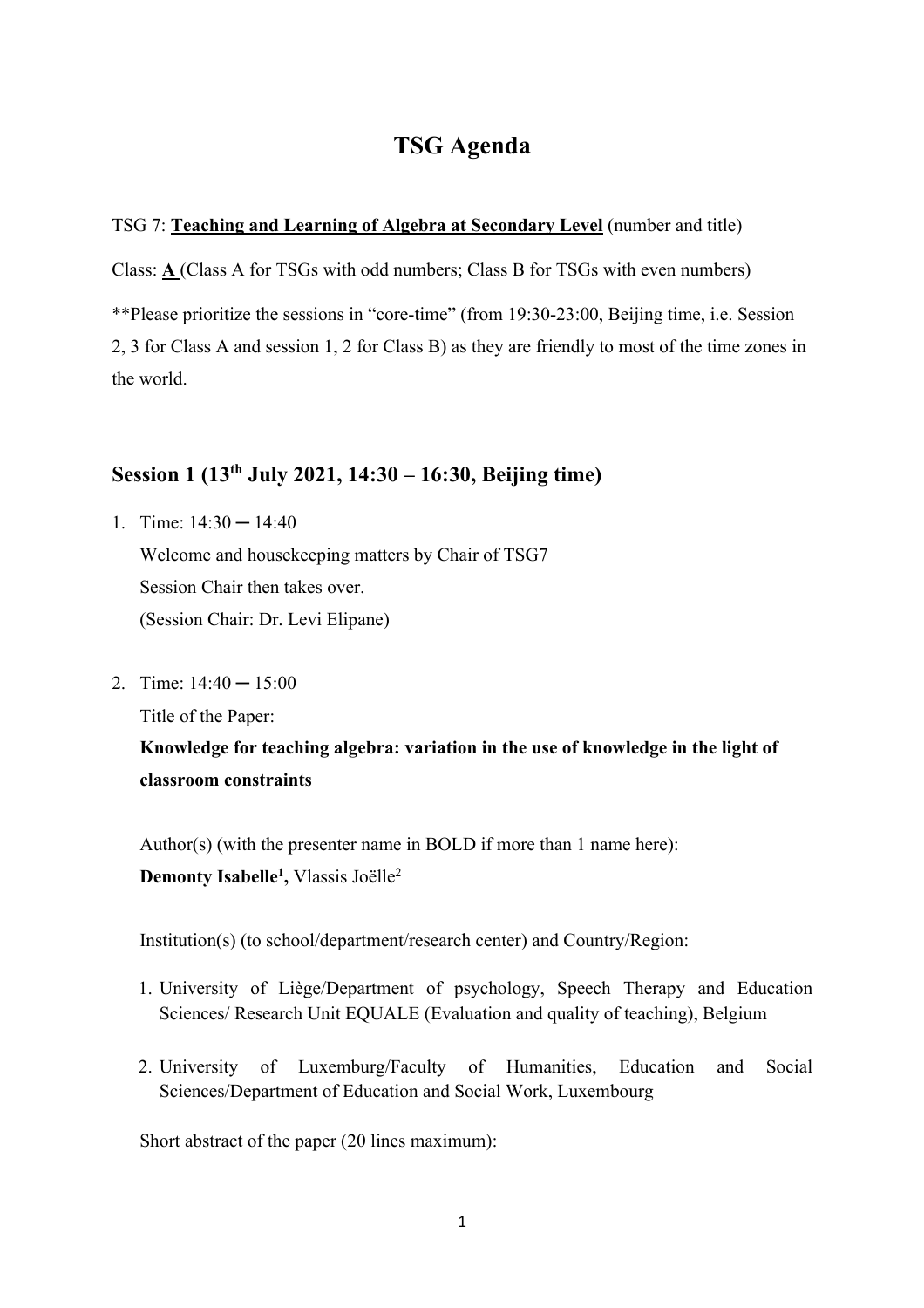# **TSG Agenda**

### TSG 7: **Teaching and Learning of Algebra at Secondary Level** (number and title)

Class: **A** (Class A for TSGs with odd numbers; Class B for TSGs with even numbers) \*\*Please prioritize the sessions in "core-time" (from 19:30-23:00, Beijing time, i.e. Session 2, 3 for Class A and session 1, 2 for Class B) as they are friendly to most of the time zones in the world.

# **Session 1 (13th July 2021, 14:30 – 16:30, Beijing time)**

- 1. Time:  $14:30 14:40$ Welcome and housekeeping matters by Chair of TSG7 Session Chair then takes over. (Session Chair: Dr. Levi Elipane)
- 2. Time:  $14:40 15:00$

Title of the Paper:

**Knowledge for teaching algebra: variation in the use of knowledge in the light of classroom constraints**

Author(s) (with the presenter name in BOLD if more than 1 name here): **Demonty Isabelle1 ,** Vlassis Joëlle2

Institution(s) (to school/department/research center) and Country/Region:

- 1. University of Liège/Department of psychology, Speech Therapy and Education Sciences/ Research Unit EQUALE (Evaluation and quality of teaching), Belgium
- 2. University of Luxemburg/Faculty of Humanities, Education and Social Sciences/Department of Education and Social Work, Luxembourg

Short abstract of the paper (20 lines maximum):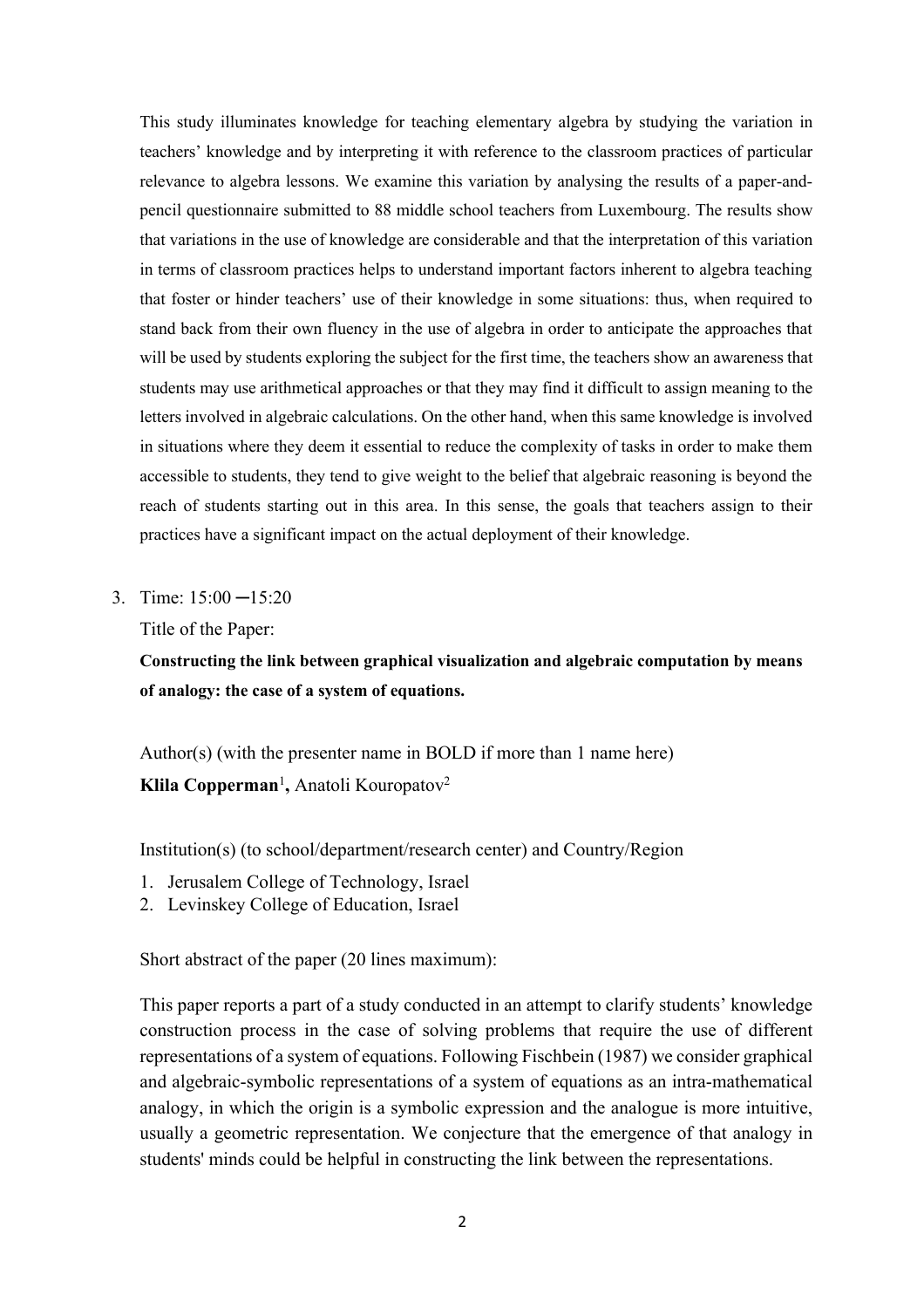This study illuminates knowledge for teaching elementary algebra by studying the variation in teachers' knowledge and by interpreting it with reference to the classroom practices of particular relevance to algebra lessons. We examine this variation by analysing the results of a paper-andpencil questionnaire submitted to 88 middle school teachers from Luxembourg. The results show that variations in the use of knowledge are considerable and that the interpretation of this variation in terms of classroom practices helps to understand important factors inherent to algebra teaching that foster or hinder teachers' use of their knowledge in some situations: thus, when required to stand back from their own fluency in the use of algebra in order to anticipate the approaches that will be used by students exploring the subject for the first time, the teachers show an awareness that students may use arithmetical approaches or that they may find it difficult to assign meaning to the letters involved in algebraic calculations. On the other hand, when this same knowledge is involved in situations where they deem it essential to reduce the complexity of tasks in order to make them accessible to students, they tend to give weight to the belief that algebraic reasoning is beyond the reach of students starting out in this area. In this sense, the goals that teachers assign to their practices have a significant impact on the actual deployment of their knowledge.

3. Time: 15:00 ─15:20

Title of the Paper:

**Constructing the link between graphical visualization and algebraic computation by means of analogy: the case of a system of equations.**

Author(s) (with the presenter name in BOLD if more than 1 name here) **Klila Copperman**<sup>1</sup> **,** Anatoli Kouropatov2

Institution(s) (to school/department/research center) and Country/Region

- 1. Jerusalem College of Technology, Israel
- 2. Levinskey College of Education, Israel

Short abstract of the paper (20 lines maximum):

This paper reports a part of a study conducted in an attempt to clarify students' knowledge construction process in the case of solving problems that require the use of different representations of a system of equations. Following Fischbein (1987) we consider graphical and algebraic-symbolic representations of a system of equations as an intra-mathematical analogy, in which the origin is a symbolic expression and the analogue is more intuitive, usually a geometric representation. We conjecture that the emergence of that analogy in students' minds could be helpful in constructing the link between the representations.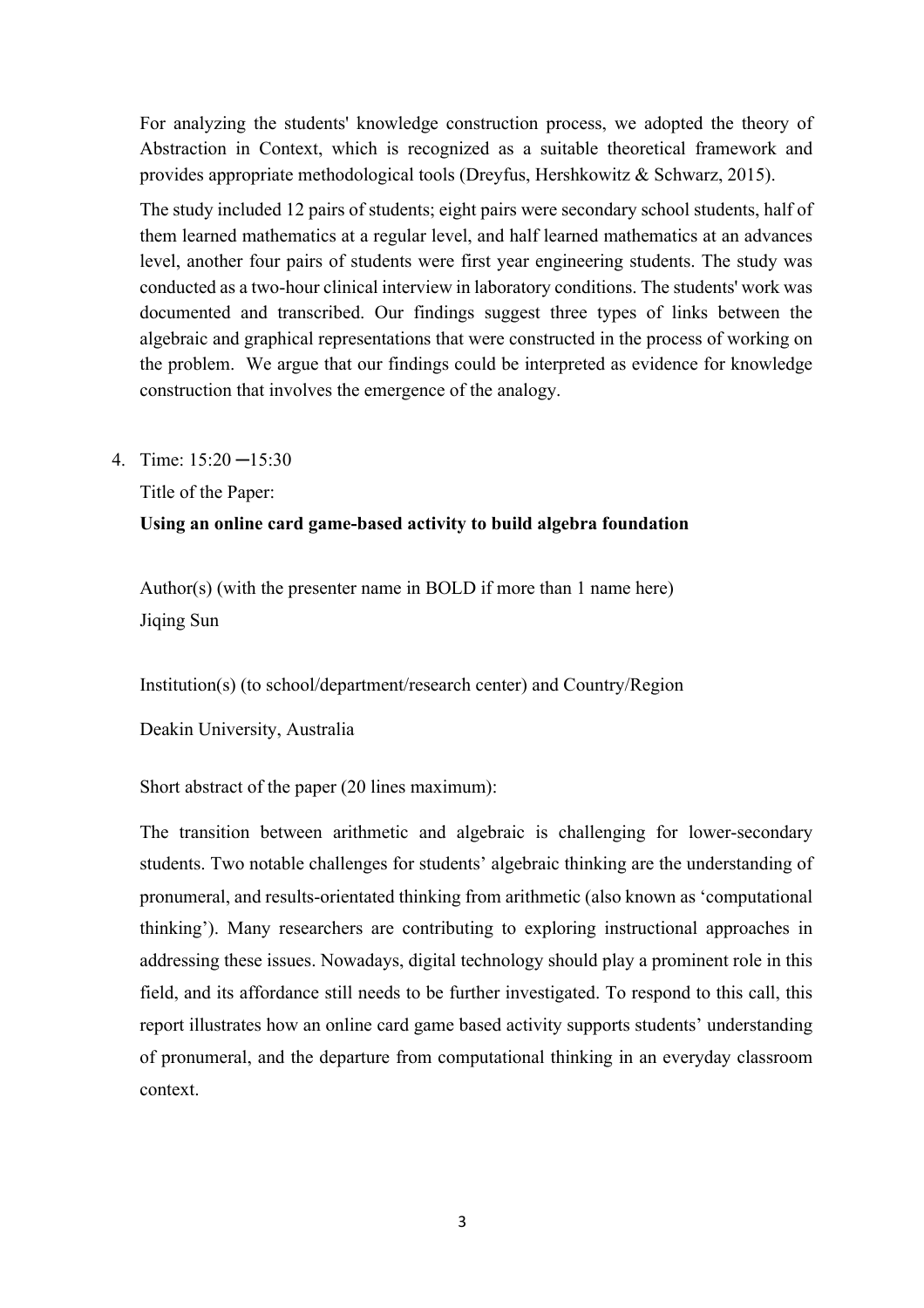For analyzing the students' knowledge construction process, we adopted the theory of Abstraction in Context, which is recognized as a suitable theoretical framework and provides appropriate methodological tools (Dreyfus, Hershkowitz & Schwarz, 2015).

The study included 12 pairs of students; eight pairs were secondary school students, half of them learned mathematics at a regular level, and half learned mathematics at an advances level, another four pairs of students were first year engineering students. The study was conducted as a two-hour clinical interview in laboratory conditions. The students' work was documented and transcribed. Our findings suggest three types of links between the algebraic and graphical representations that were constructed in the process of working on the problem. We argue that our findings could be interpreted as evidence for knowledge construction that involves the emergence of the analogy.

4. Time: 15:20 ─15:30

Title of the Paper:

## **Using an online card game-based activity to build algebra foundation**

Author(s) (with the presenter name in BOLD if more than 1 name here) Jiqing Sun

Institution(s) (to school/department/research center) and Country/Region

Deakin University, Australia

Short abstract of the paper (20 lines maximum):

The transition between arithmetic and algebraic is challenging for lower-secondary students. Two notable challenges for students' algebraic thinking are the understanding of pronumeral, and results-orientated thinking from arithmetic (also known as 'computational thinking'). Many researchers are contributing to exploring instructional approaches in addressing these issues. Nowadays, digital technology should play a prominent role in this field, and its affordance still needs to be further investigated. To respond to this call, this report illustrates how an online card game based activity supports students' understanding of pronumeral, and the departure from computational thinking in an everyday classroom context.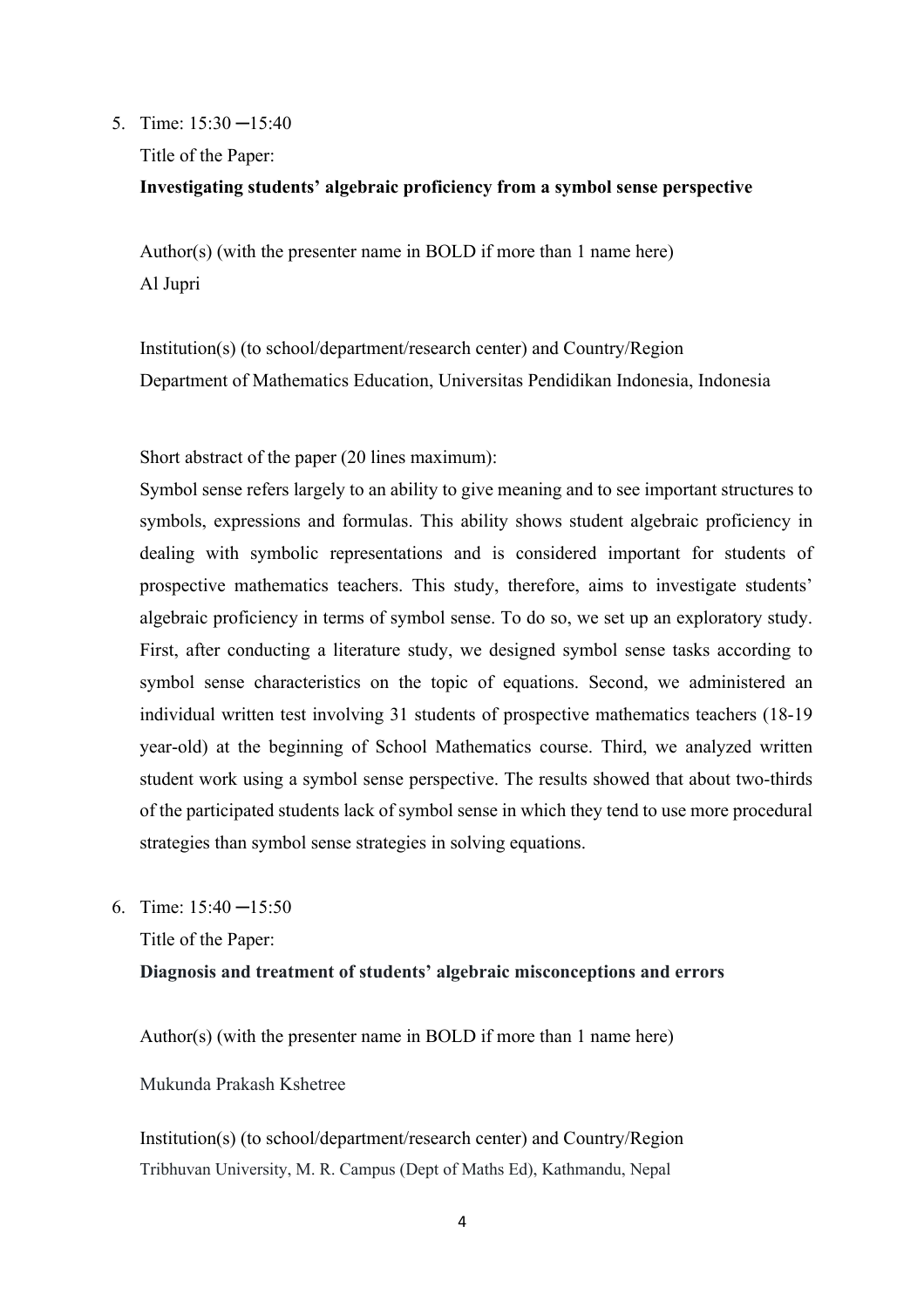#### 5. Time: 15:30 ─15:40

Title of the Paper:

#### **Investigating students' algebraic proficiency from a symbol sense perspective**

Author(s) (with the presenter name in BOLD if more than 1 name here) Al Jupri

Institution(s) (to school/department/research center) and Country/Region Department of Mathematics Education, Universitas Pendidikan Indonesia, Indonesia

Short abstract of the paper (20 lines maximum):

Symbol sense refers largely to an ability to give meaning and to see important structures to symbols, expressions and formulas. This ability shows student algebraic proficiency in dealing with symbolic representations and is considered important for students of prospective mathematics teachers. This study, therefore, aims to investigate students' algebraic proficiency in terms of symbol sense. To do so, we set up an exploratory study. First, after conducting a literature study, we designed symbol sense tasks according to symbol sense characteristics on the topic of equations. Second, we administered an individual written test involving 31 students of prospective mathematics teachers (18-19 year-old) at the beginning of School Mathematics course. Third, we analyzed written student work using a symbol sense perspective. The results showed that about two-thirds of the participated students lack of symbol sense in which they tend to use more procedural strategies than symbol sense strategies in solving equations.

6. Time: 15:40 ─15:50

Title of the Paper:

#### **Diagnosis and treatment of students' algebraic misconceptions and errors**

Author(s) (with the presenter name in BOLD if more than 1 name here)

Mukunda Prakash Kshetree

Institution(s) (to school/department/research center) and Country/Region Tribhuvan University, M. R. Campus (Dept of Maths Ed), Kathmandu, Nepal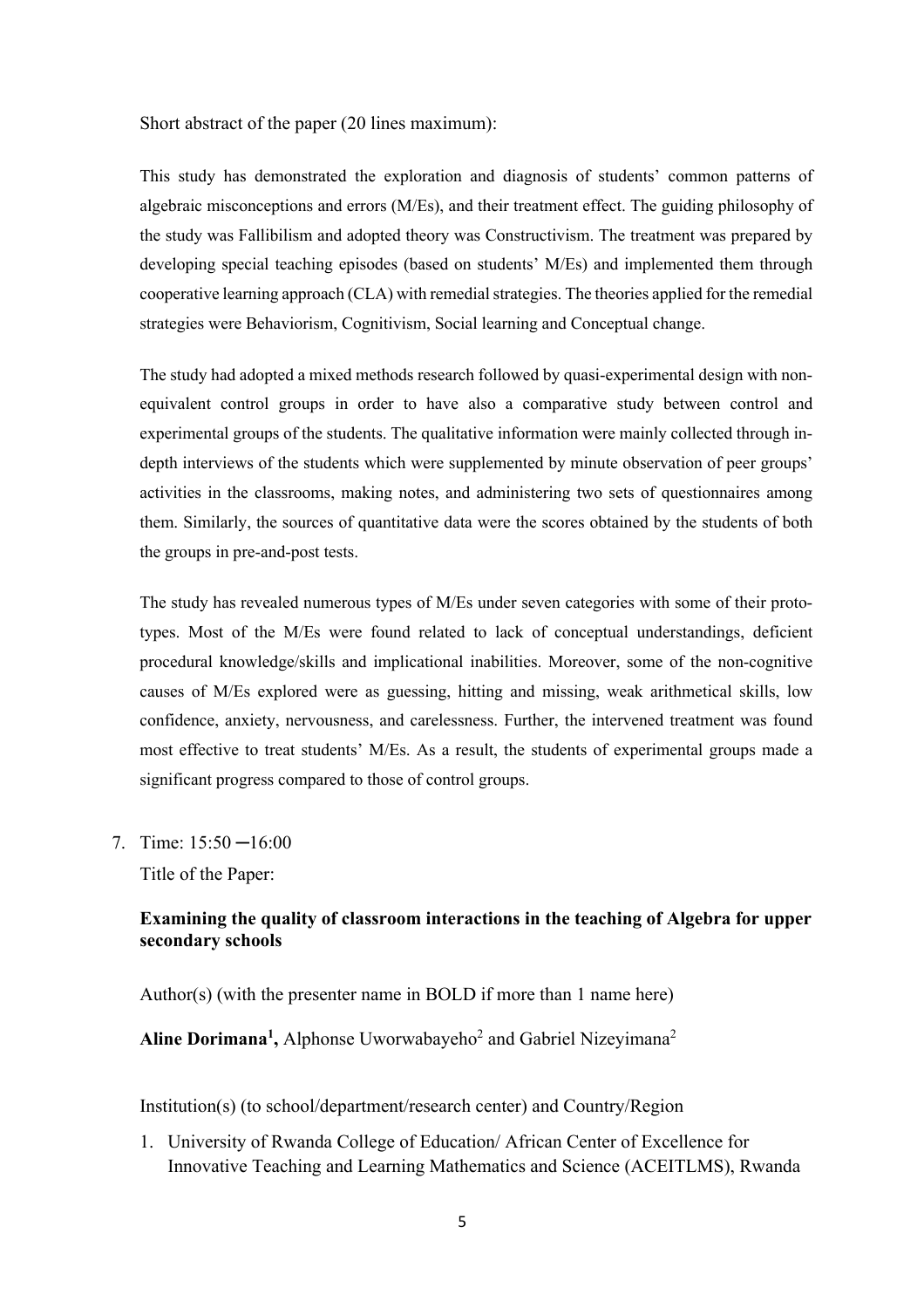Short abstract of the paper (20 lines maximum):

This study has demonstrated the exploration and diagnosis of students' common patterns of algebraic misconceptions and errors (M/Es), and their treatment effect. The guiding philosophy of the study was Fallibilism and adopted theory was Constructivism. The treatment was prepared by developing special teaching episodes (based on students' M/Es) and implemented them through cooperative learning approach (CLA) with remedial strategies. The theories applied for the remedial strategies were Behaviorism, Cognitivism, Social learning and Conceptual change.

The study had adopted a mixed methods research followed by quasi-experimental design with nonequivalent control groups in order to have also a comparative study between control and experimental groups of the students. The qualitative information were mainly collected through indepth interviews of the students which were supplemented by minute observation of peer groups' activities in the classrooms, making notes, and administering two sets of questionnaires among them. Similarly, the sources of quantitative data were the scores obtained by the students of both the groups in pre-and-post tests.

The study has revealed numerous types of M/Es under seven categories with some of their prototypes. Most of the M/Es were found related to lack of conceptual understandings, deficient procedural knowledge/skills and implicational inabilities. Moreover, some of the non-cognitive causes of M/Es explored were as guessing, hitting and missing, weak arithmetical skills, low confidence, anxiety, nervousness, and carelessness. Further, the intervened treatment was found most effective to treat students' M/Es. As a result, the students of experimental groups made a significant progress compared to those of control groups.

7. Time: 15:50 ─16:00

Title of the Paper:

### **Examining the quality of classroom interactions in the teaching of Algebra for upper secondary schools**

Author(s) (with the presenter name in BOLD if more than 1 name here)

Aline Dorimana<sup>1</sup>, Alphonse Uworwabayeho<sup>2</sup> and Gabriel Nizeyimana<sup>2</sup>

Institution(s) (to school/department/research center) and Country/Region

1. University of Rwanda College of Education/ African Center of Excellence for Innovative Teaching and Learning Mathematics and Science (ACEITLMS), Rwanda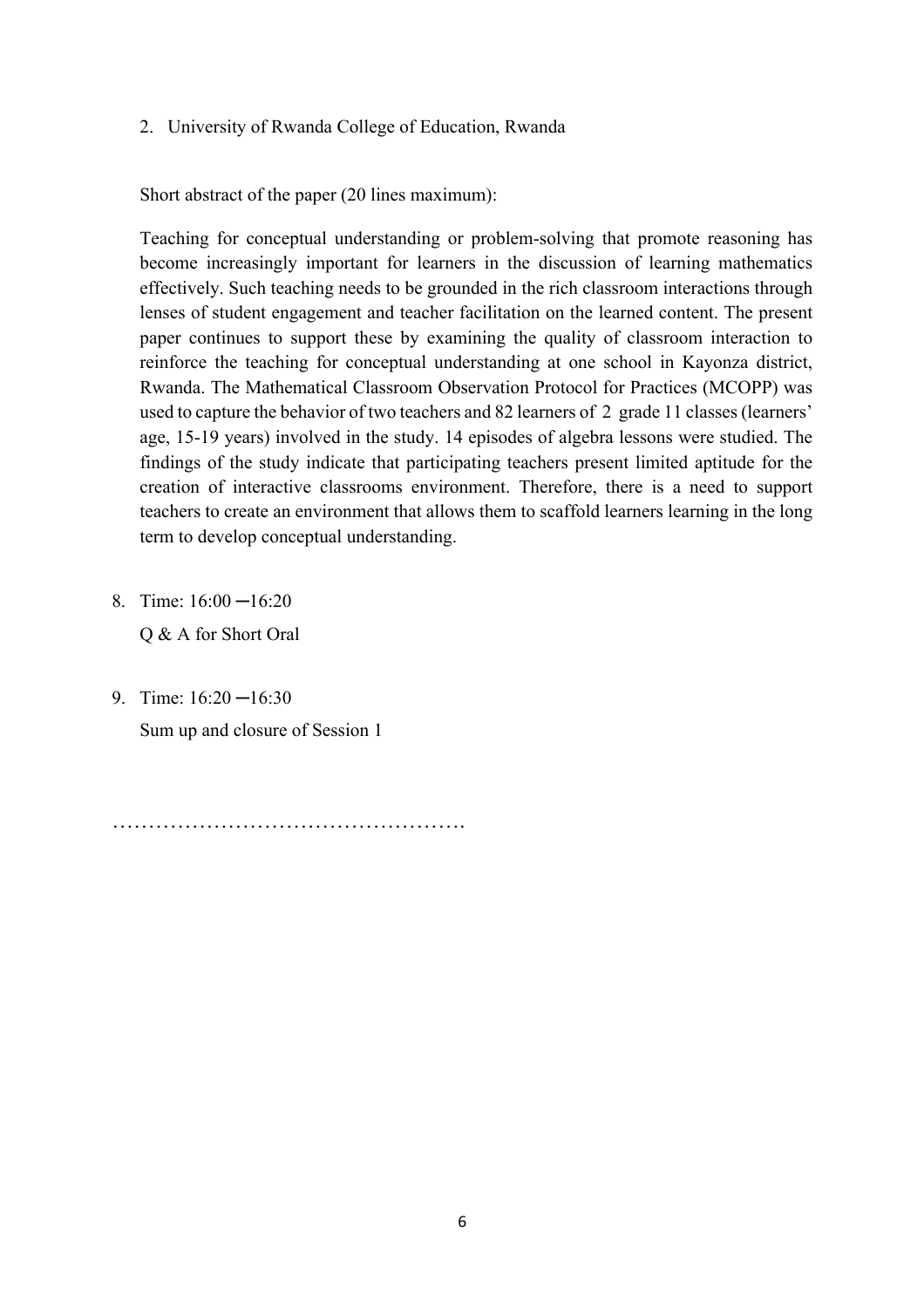2. University of Rwanda College of Education, Rwanda

Short abstract of the paper (20 lines maximum):

Teaching for conceptual understanding or problem-solving that promote reasoning has become increasingly important for learners in the discussion of learning mathematics effectively. Such teaching needs to be grounded in the rich classroom interactions through lenses of student engagement and teacher facilitation on the learned content. The present paper continues to support these by examining the quality of classroom interaction to reinforce the teaching for conceptual understanding at one school in Kayonza district, Rwanda. The Mathematical Classroom Observation Protocol for Practices (MCOPP) was used to capture the behavior of two teachers and 82 learners of 2 grade 11 classes (learners' age, 15-19 years) involved in the study. 14 episodes of algebra lessons were studied. The findings of the study indicate that participating teachers present limited aptitude for the creation of interactive classrooms environment. Therefore, there is a need to support teachers to create an environment that allows them to scaffold learners learning in the long term to develop conceptual understanding.

- 8. Time: 16:00 ─16:20 Q & A for Short Oral
- 9. Time:  $16:20 16:30$ Sum up and closure of Session 1

………………………………………….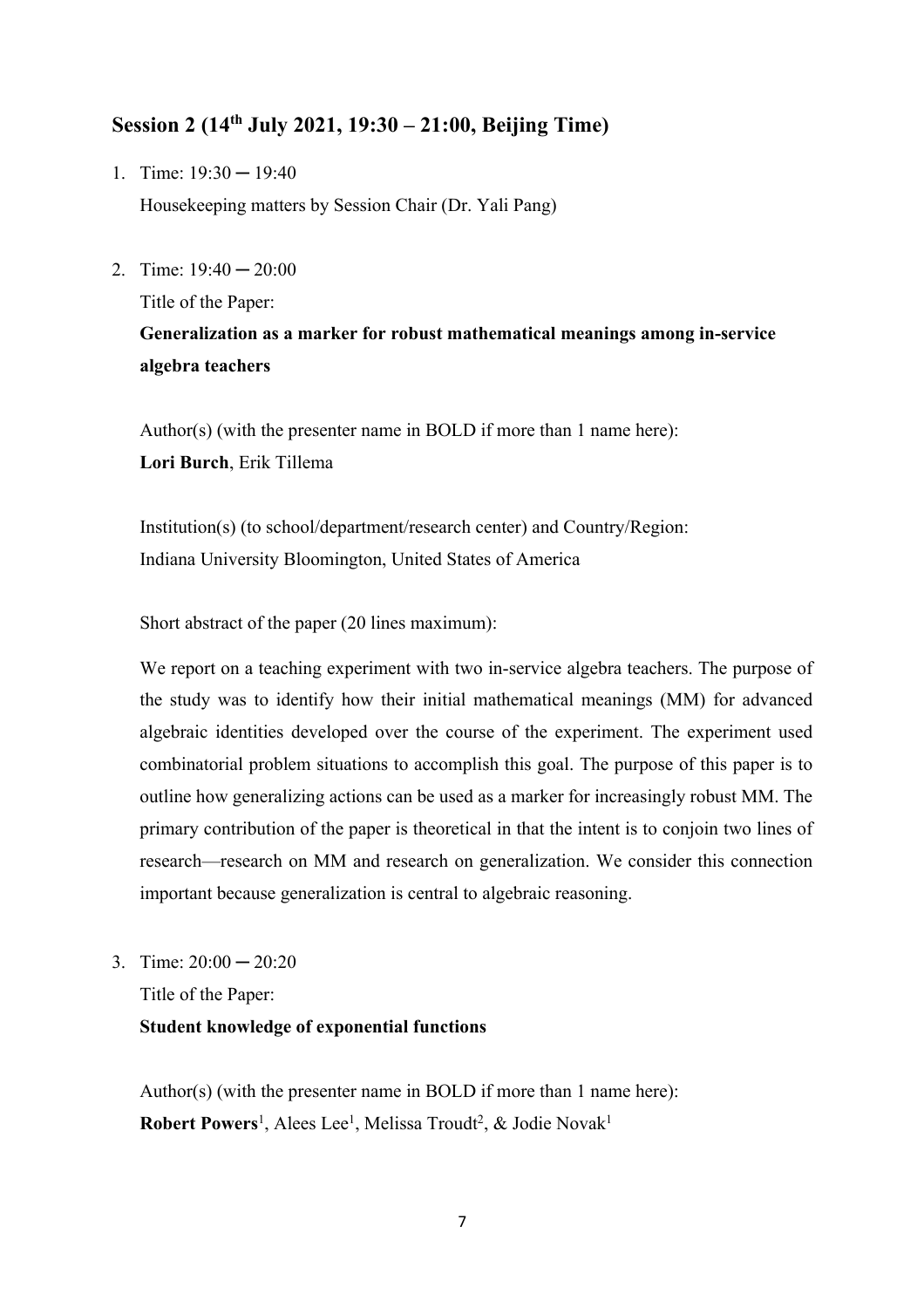## **Session 2 (14th July 2021, 19:30 – 21:00, Beijing Time)**

- 1. Time:  $19:30 19:40$ Housekeeping matters by Session Chair (Dr. Yali Pang)
- 2. Time:  $19:40 20:00$

Title of the Paper:

# **Generalization as a marker for robust mathematical meanings among in-service algebra teachers**

Author(s) (with the presenter name in BOLD if more than 1 name here): **Lori Burch**, Erik Tillema

Institution(s) (to school/department/research center) and Country/Region: Indiana University Bloomington, United States of America

Short abstract of the paper (20 lines maximum):

We report on a teaching experiment with two in-service algebra teachers. The purpose of the study was to identify how their initial mathematical meanings (MM) for advanced algebraic identities developed over the course of the experiment. The experiment used combinatorial problem situations to accomplish this goal. The purpose of this paper is to outline how generalizing actions can be used as a marker for increasingly robust MM. The primary contribution of the paper is theoretical in that the intent is to conjoin two lines of research—research on MM and research on generalization. We consider this connection important because generalization is central to algebraic reasoning.

3. Time:  $20:00 - 20:20$ 

Title of the Paper:

### **Student knowledge of exponential functions**

Author(s) (with the presenter name in BOLD if more than 1 name here): Robert Powers<sup>1</sup>, Alees Lee<sup>1</sup>, Melissa Troudt<sup>2</sup>, & Jodie Novak<sup>1</sup>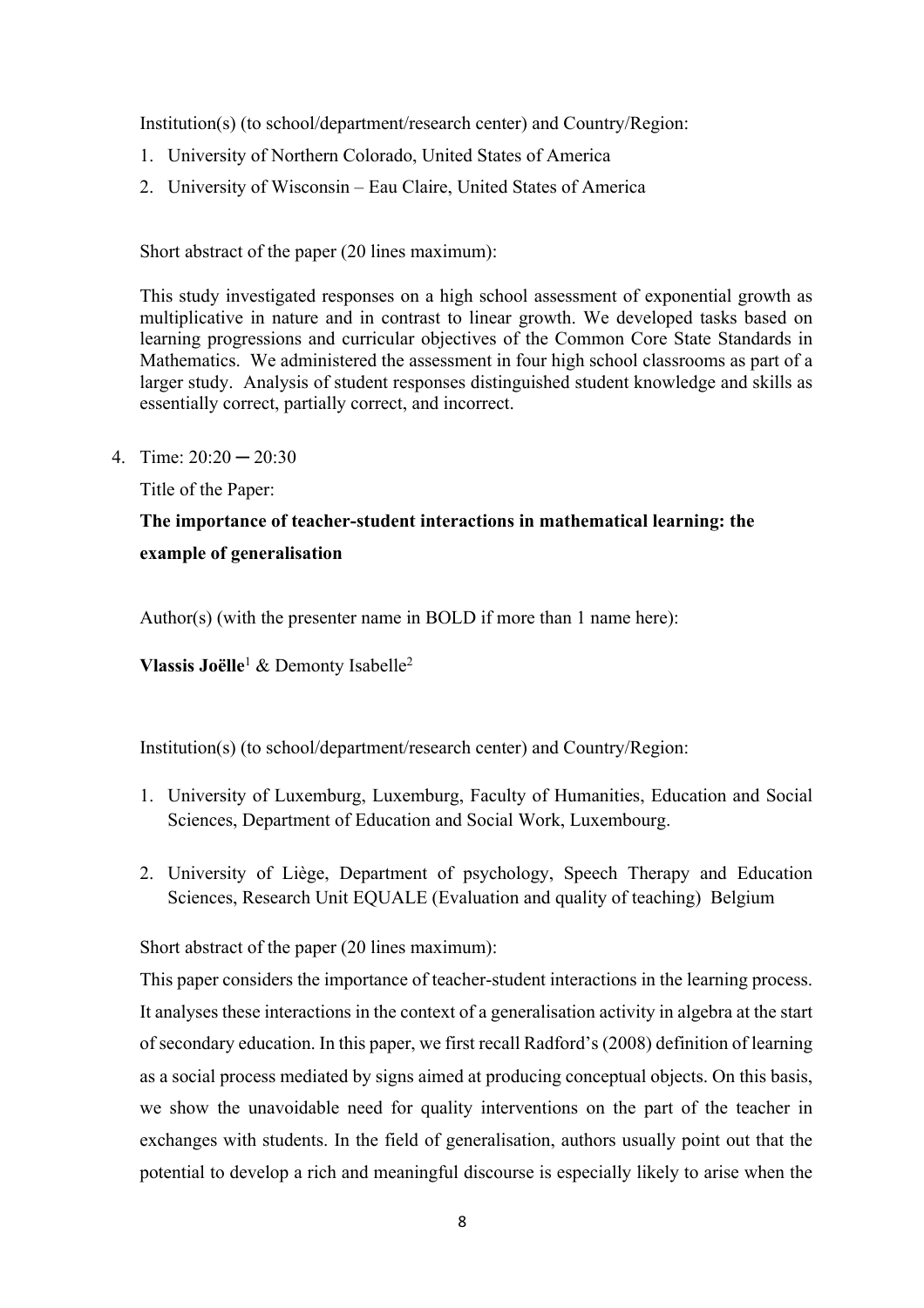Institution(s) (to school/department/research center) and Country/Region:

- 1. University of Northern Colorado, United States of America
- 2. University of Wisconsin Eau Claire, United States of America

Short abstract of the paper (20 lines maximum):

This study investigated responses on a high school assessment of exponential growth as multiplicative in nature and in contrast to linear growth. We developed tasks based on learning progressions and curricular objectives of the Common Core State Standards in Mathematics. We administered the assessment in four high school classrooms as part of a larger study. Analysis of student responses distinguished student knowledge and skills as essentially correct, partially correct, and incorrect.

4. Time:  $20:20 - 20:30$ 

Title of the Paper:

# **The importance of teacher-student interactions in mathematical learning: the example of generalisation**

Author(s) (with the presenter name in BOLD if more than 1 name here):

**Vlassis Joëlle**<sup>1</sup> & Demonty Isabelle2

Institution(s) (to school/department/research center) and Country/Region:

- 1. University of Luxemburg, Luxemburg, Faculty of Humanities, Education and Social Sciences, Department of Education and Social Work, Luxembourg.
- 2. University of Liège, Department of psychology, Speech Therapy and Education Sciences, Research Unit EQUALE (Evaluation and quality of teaching) Belgium

Short abstract of the paper (20 lines maximum):

This paper considers the importance of teacher-student interactions in the learning process. It analyses these interactions in the context of a generalisation activity in algebra at the start of secondary education. In this paper, we first recall Radford's (2008) definition of learning as a social process mediated by signs aimed at producing conceptual objects. On this basis, we show the unavoidable need for quality interventions on the part of the teacher in exchanges with students. In the field of generalisation, authors usually point out that the potential to develop a rich and meaningful discourse is especially likely to arise when the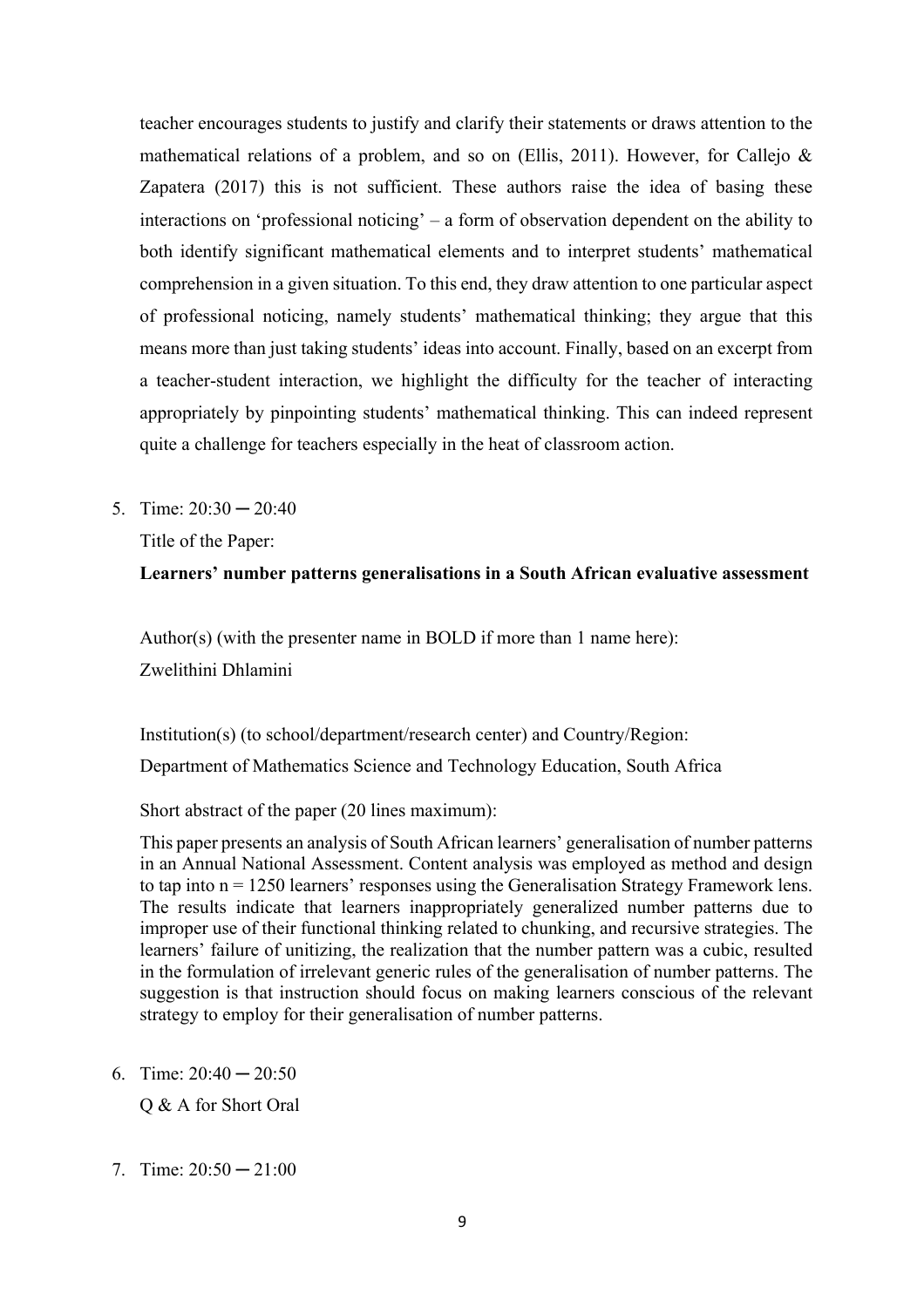teacher encourages students to justify and clarify their statements or draws attention to the mathematical relations of a problem, and so on (Ellis, 2011). However, for Callejo & Zapatera (2017) this is not sufficient. These authors raise the idea of basing these interactions on 'professional noticing' – a form of observation dependent on the ability to both identify significant mathematical elements and to interpret students' mathematical comprehension in a given situation. To this end, they draw attention to one particular aspect of professional noticing, namely students' mathematical thinking; they argue that this means more than just taking students' ideas into account. Finally, based on an excerpt from a teacher-student interaction, we highlight the difficulty for the teacher of interacting appropriately by pinpointing students' mathematical thinking. This can indeed represent quite a challenge for teachers especially in the heat of classroom action.

5. Time:  $20:30 - 20:40$ 

Title of the Paper:

## **Learners' number patterns generalisations in a South African evaluative assessment**

Author(s) (with the presenter name in BOLD if more than 1 name here):

Zwelithini Dhlamini

Institution(s) (to school/department/research center) and Country/Region:

Department of Mathematics Science and Technology Education, South Africa

Short abstract of the paper (20 lines maximum):

This paper presents an analysis of South African learners' generalisation of number patterns in an Annual National Assessment. Content analysis was employed as method and design to tap into  $n = 1250$  learners' responses using the Generalisation Strategy Framework lens. The results indicate that learners inappropriately generalized number patterns due to improper use of their functional thinking related to chunking, and recursive strategies. The learners' failure of unitizing, the realization that the number pattern was a cubic, resulted in the formulation of irrelevant generic rules of the generalisation of number patterns. The suggestion is that instruction should focus on making learners conscious of the relevant strategy to employ for their generalisation of number patterns.

6. Time:  $20:40 - 20:50$ 

Q & A for Short Oral

7. Time:  $20:50 - 21:00$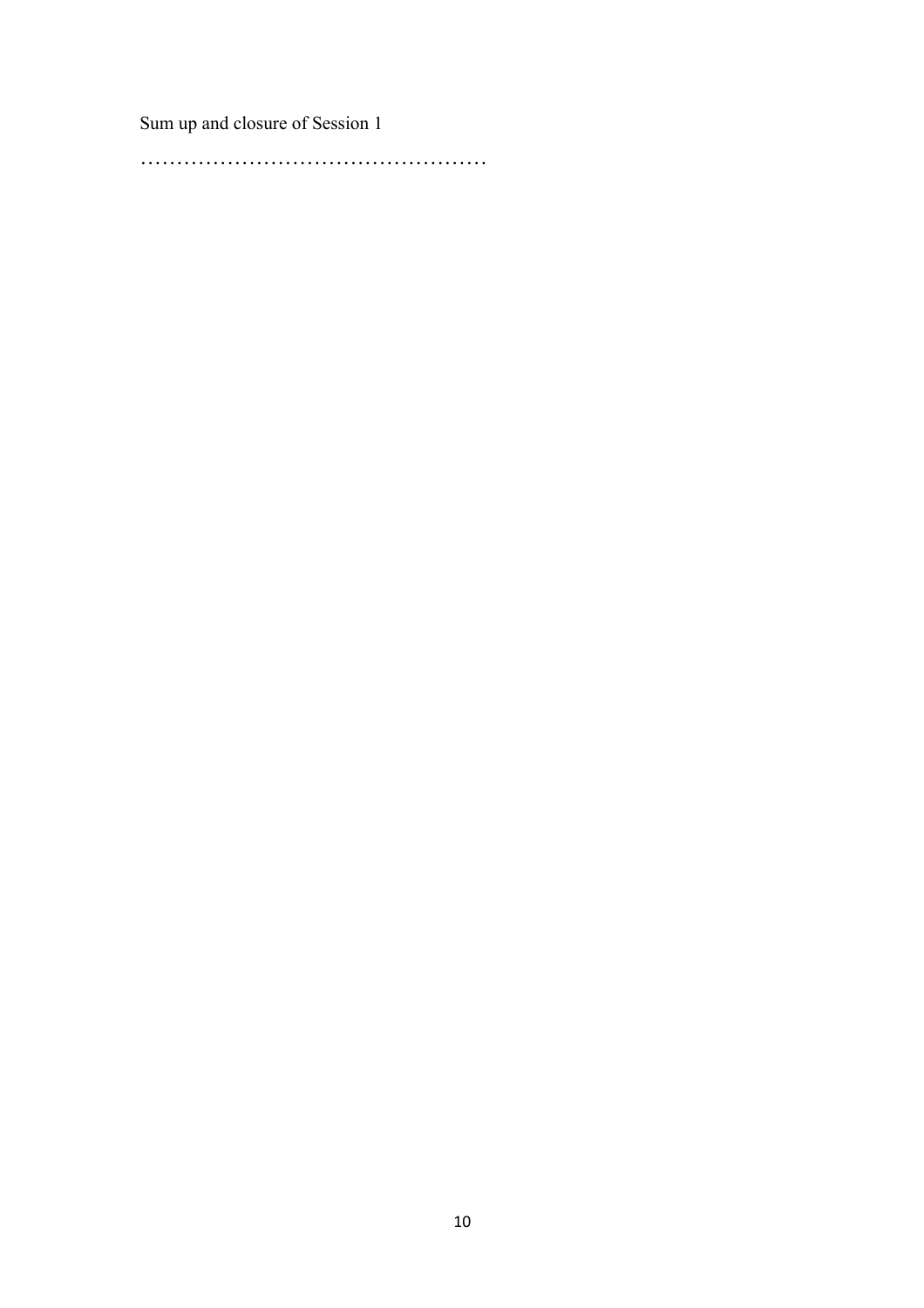Sum up and closure of Session 1

…………………………………………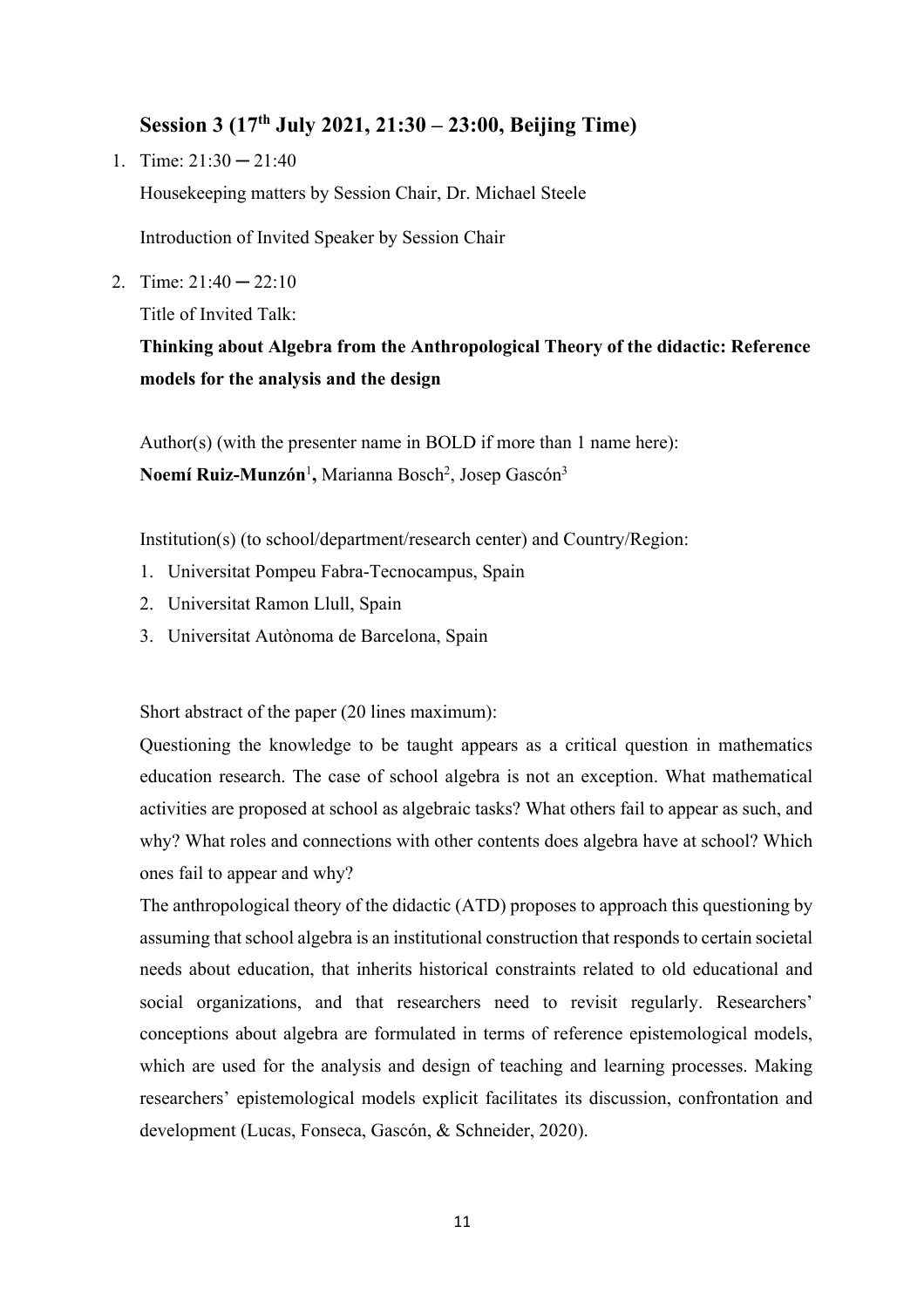## **Session 3 (17th July 2021, 21:30 – 23:00, Beijing Time)**

1. Time:  $21:30 - 21:40$ 

Housekeeping matters by Session Chair, Dr. Michael Steele

Introduction of Invited Speaker by Session Chair

2. Time:  $21:40 - 22:10$ 

Title of Invited Talk:

**Thinking about Algebra from the Anthropological Theory of the didactic: Reference models for the analysis and the design**

Author(s) (with the presenter name in BOLD if more than 1 name here): **Noemí Ruiz-Munzón**<sup>1</sup> **,** Marianna Bosch2 , Josep Gascón3

Institution(s) (to school/department/research center) and Country/Region:

- 1. Universitat Pompeu Fabra-Tecnocampus, Spain
- 2. Universitat Ramon Llull, Spain
- 3. Universitat Autònoma de Barcelona, Spain

Short abstract of the paper (20 lines maximum):

Questioning the knowledge to be taught appears as a critical question in mathematics education research. The case of school algebra is not an exception. What mathematical activities are proposed at school as algebraic tasks? What others fail to appear as such, and why? What roles and connections with other contents does algebra have at school? Which ones fail to appear and why?

The anthropological theory of the didactic (ATD) proposes to approach this questioning by assuming that school algebra is an institutional construction that responds to certain societal needs about education, that inherits historical constraints related to old educational and social organizations, and that researchers need to revisit regularly. Researchers' conceptions about algebra are formulated in terms of reference epistemological models, which are used for the analysis and design of teaching and learning processes. Making researchers' epistemological models explicit facilitates its discussion, confrontation and development (Lucas, Fonseca, Gascón, & Schneider, 2020).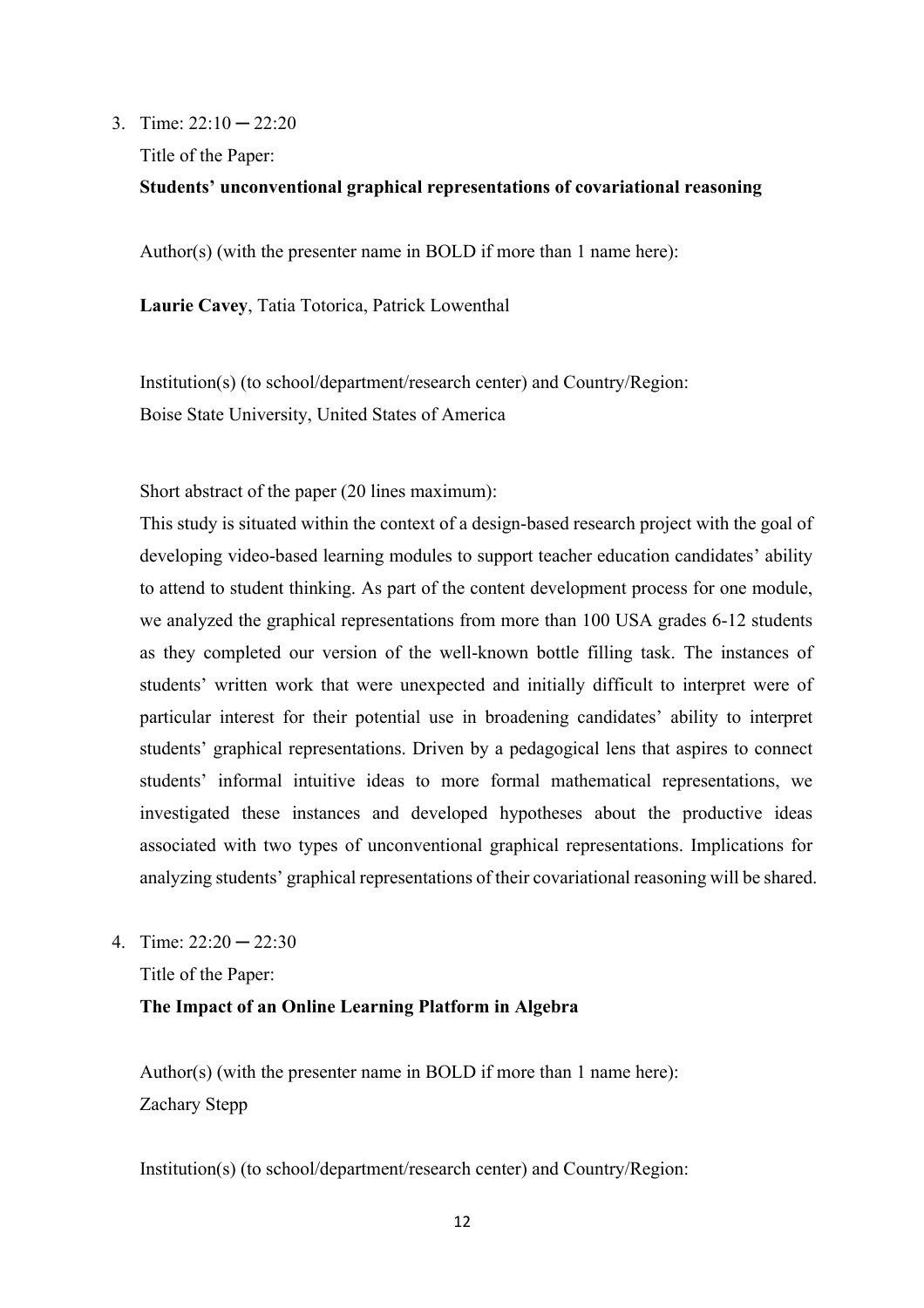3. Time:  $22:10 - 22:20$ 

Title of the Paper:

### **Students' unconventional graphical representations of covariational reasoning**

Author(s) (with the presenter name in BOLD if more than 1 name here):

**Laurie Cavey**, Tatia Totorica, Patrick Lowenthal

Institution(s) (to school/department/research center) and Country/Region: Boise State University, United States of America

Short abstract of the paper (20 lines maximum):

This study is situated within the context of a design-based research project with the goal of developing video-based learning modules to support teacher education candidates' ability to attend to student thinking. As part of the content development process for one module, we analyzed the graphical representations from more than 100 USA grades 6-12 students as they completed our version of the well-known bottle filling task. The instances of students' written work that were unexpected and initially difficult to interpret were of particular interest for their potential use in broadening candidates' ability to interpret students' graphical representations. Driven by a pedagogical lens that aspires to connect students' informal intuitive ideas to more formal mathematical representations, we investigated these instances and developed hypotheses about the productive ideas associated with two types of unconventional graphical representations. Implications for analyzing students' graphical representations of their covariational reasoning will be shared.

4. Time:  $22:20 - 22:30$ 

Title of the Paper:

**The Impact of an Online Learning Platform in Algebra** 

Author(s) (with the presenter name in BOLD if more than 1 name here): Zachary Stepp

Institution(s) (to school/department/research center) and Country/Region: